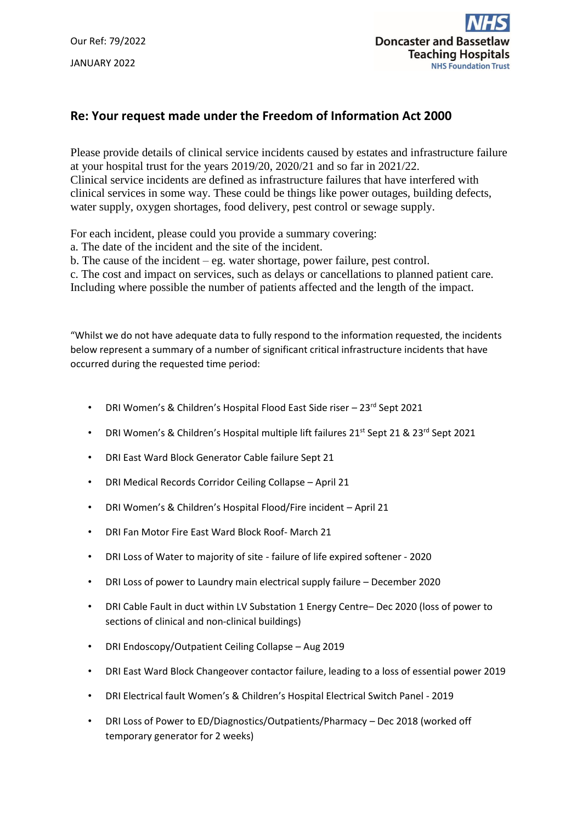Our Ref: 79/2022 JANUARY 2022



## **Re: Your request made under the Freedom of Information Act 2000**

Please provide details of clinical service incidents caused by estates and infrastructure failure at your hospital trust for the years 2019/20, 2020/21 and so far in 2021/22. Clinical service incidents are defined as infrastructure failures that have interfered with clinical services in some way. These could be things like power outages, building defects, water supply, oxygen shortages, food delivery, pest control or sewage supply.

For each incident, please could you provide a summary covering:

a. The date of the incident and the site of the incident.

b. The cause of the incident – eg. water shortage, power failure, pest control.

c. The cost and impact on services, such as delays or cancellations to planned patient care. Including where possible the number of patients affected and the length of the impact.

"Whilst we do not have adequate data to fully respond to the information requested, the incidents below represent a summary of a number of significant critical infrastructure incidents that have occurred during the requested time period:

- DRI Women's & Children's Hospital Flood East Side riser 23<sup>rd</sup> Sept 2021
- DRI Women's & Children's Hospital multiple lift failures 21st Sept 21 & 23<sup>rd</sup> Sept 2021
- DRI East Ward Block Generator Cable failure Sept 21
- DRI Medical Records Corridor Ceiling Collapse April 21
- DRI Women's & Children's Hospital Flood/Fire incident April 21
- DRI Fan Motor Fire East Ward Block Roof- March 21
- DRI Loss of Water to majority of site failure of life expired softener 2020
- DRI Loss of power to Laundry main electrical supply failure December 2020
- DRI Cable Fault in duct within LV Substation 1 Energy Centre– Dec 2020 (loss of power to sections of clinical and non-clinical buildings)
- DRI Endoscopy/Outpatient Ceiling Collapse Aug 2019
- DRI East Ward Block Changeover contactor failure, leading to a loss of essential power 2019
- DRI Electrical fault Women's & Children's Hospital Electrical Switch Panel 2019
- DRI Loss of Power to ED/Diagnostics/Outpatients/Pharmacy Dec 2018 (worked off temporary generator for 2 weeks)